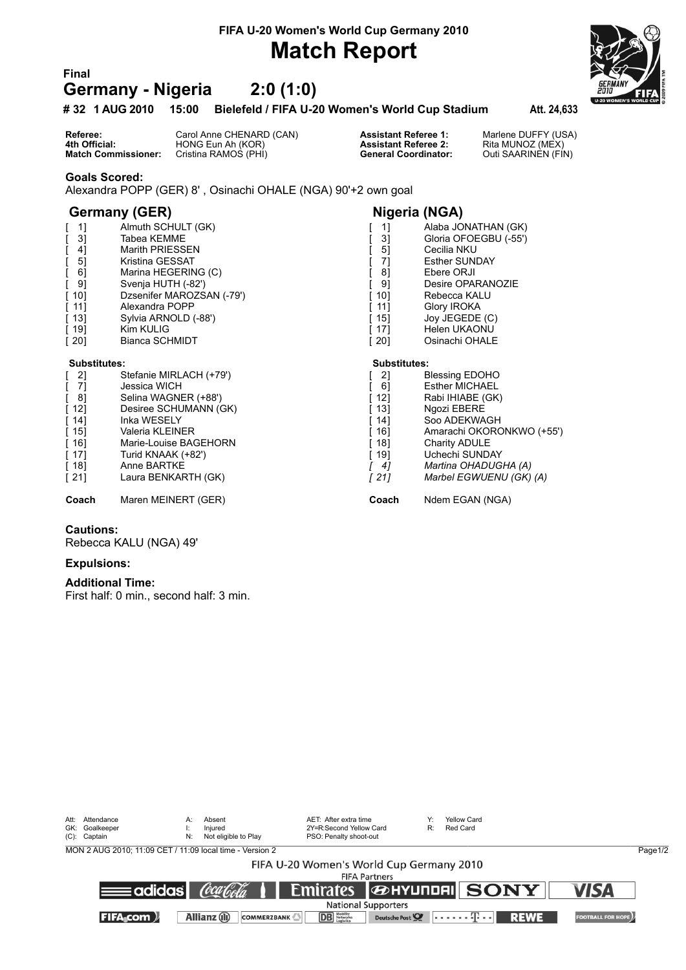**FIFA U-20 Women's World Cup Germany 2010**

## **Match Report**

### **Final Germany - Nigeria 2:0 (1:0)**

#### **# 32 1 AUG 2010 15:00 Bielefeld / FIFA U-20 Women's World Cup Stadium Att. 24,633**

**Referee:** Carol Anne CHENARD (CAN) **Assistant Referee 1:** Marlene DUFFY (USA)<br> **4th Official:** HONG Eun Ah (KOR) **Assistant Referee 2:** Rita MUNOZ (MEX)<br> **Match Commissioner:** Cristina RAMOS (PHI) **Conting Conteral Coordi 4th Official:** HONG Eun Ah (KOR) **Assistant Referee 2: Match Commissioner:** Cristina RAMOS (PHI) **Assistant Referee 2: Condinator:** Cristina RAMOS (PHI) **Cristina RAMOS (PHI)** 

#### **Goals Scored:**

Alexandra POPP (GER) 8' , Osinachi OHALE (NGA) 90'+2 own goal

### **Germany (GER) Nigeria (NGA)**

| [1]                 | Almuth SCHULT (GK)        | 1]                  | Alaba JONATHAN (GK)     |
|---------------------|---------------------------|---------------------|-------------------------|
| 3]                  | Tabea KEMME               | 3]                  | Gloria OFOEGBU (-55')   |
| 4]                  | Marith PRIESSEN           | 5]                  | Cecilia NKU             |
| 5]<br>L             | Kristina GESSAT           | 7]                  | <b>Esther SUNDAY</b>    |
| 6]                  | Marina HEGERING (C)       | 8]                  | Ebere ORJI              |
| $[ 9]$              | Svenja HUTH (-82')        | 91                  | Desire OPARANOZIE       |
| [ 10]               | Dzsenifer MAROZSAN (-79') | 101                 | Rebecca KALU            |
| [11]                | Alexandra POPP            | 11]                 | Glory IROKA             |
| $[13]$              | Sylvia ARNOLD (-88')      | 15]                 | Joy JEGEDE (C)          |
| $[19]$              | Kim KULIG                 | 17]                 | Helen UKAONU            |
| $[20]$              | Bianca SCHMIDT            | 201                 | Osinachi OHALE          |
| <b>Substitutes:</b> |                           | <b>Substitutes:</b> |                         |
| $[2]$               | Stefanie MIRLACH (+79')   | 2]                  | <b>Blessing EDOHO</b>   |
| $[7]$               | Jessica WICH              | 6]                  | <b>Esther MICHAEL</b>   |
| [8]                 | Selina WAGNER (+88')      | 12]                 | Rabi IHIABE (GK)        |
| $[12]$              | Desiree SCHUMANN (GK)     | 13]                 | Ngozi EBERE             |
| $[14]$              | Inka WESELY               | 14]                 | Soo ADEKWAGH            |
| $[15]$              | Valeria KLEINER           | 16]                 | Amarachi OKORONKWO (+   |
| $[16]$              | Marie-Louise BAGEHORN     | 18]                 | Charity ADULE           |
| $[17]$              | Turid KNAAK (+82')        | 19]                 | Uchechi SUNDAY          |
| $[18]$              | Anne BARTKE               | 4]                  | Martina OHADUGHA (A)    |
| $[21]$              | Laura BENKARTH (GK)       | [21]                | Marbel EGWUENU (GK) (A) |
|                     |                           |                     |                         |

#### **Cautions:**

Rebecca KALU (NGA) 49'

#### **Expulsions:**

#### **Additional Time:**

First half: 0 min., second half: 3 min.

| Att: Attendance<br>GK: Goalkeeper<br>(C): Captain | A:<br>N:         | Absent<br>Iniured<br>Not eligible to Play                | AET: After extra time<br>2Y=R:Second Yellow Card<br>PSO: Penalty shoot-out | Y.<br>R: | Yellow Card<br>Red Card                                     |                          |         |
|---------------------------------------------------|------------------|----------------------------------------------------------|----------------------------------------------------------------------------|----------|-------------------------------------------------------------|--------------------------|---------|
|                                                   |                  | MON 2 AUG 2010; 11:09 CET / 11:09 local time - Version 2 |                                                                            |          |                                                             |                          | Page1/2 |
|                                                   |                  |                                                          | FIFA U-20 Women's World Cup Germany 2010                                   |          |                                                             |                          |         |
|                                                   |                  |                                                          | <b>FIFA Partners</b>                                                       |          |                                                             |                          |         |
|                                                   | ≡adidas <b>l</b> | (òca f <sub>o</sub> sf <sub>a.</sub>                     | <b>Emirates</b>                                                            |          | <b><i>GENTURDELL</i></b> SONY                               | <b>VISA</b>              |         |
|                                                   |                  |                                                          | <b>National Supporters</b>                                                 |          |                                                             |                          |         |
| <b>FIFA</b> com )                                 |                  | Allianz (il)<br><b>COMMERZBANK</b>                       | <b>DB</b> Nobility<br>Logistics<br>Deutsche Post                           |          | $\left[ \ldots \ldots \oplus \ldots \right]$<br><b>REWE</b> | <b>FOOTBALL FOR HOPE</b> |         |





| 11 | Alaba JONATHAN |  |
|----|----------------|--|
| 31 | Gloria OFOEGBU |  |

- 
- 
- 
- 
- 
- 
- 
- 
- 
- 
- 
- 
- 
- KORONKWO (+55')
- 
- 
- [ 18] Anne BARTKE *[ 4] Martina OHADUGHA (A)*
- 

**Coach** Maren MEINERT (GER) **Coach** Ndem EGAN (NGA)